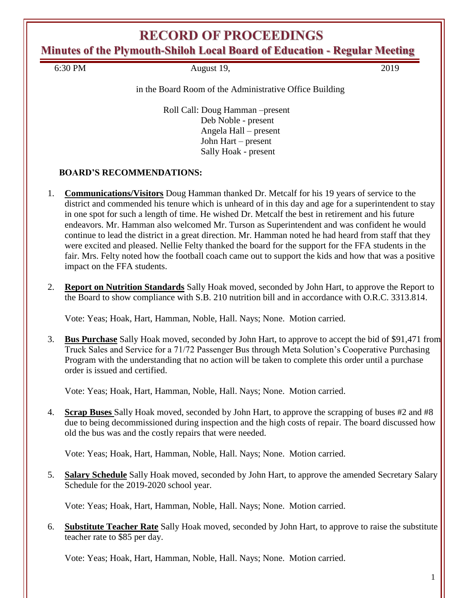**Minutes of the Plymouth-Shiloh Local Board of Education - Regular Meeting**

6:30 PM August 19, 2019

in the Board Room of the Administrative Office Building

Roll Call: Doug Hamman –present Deb Noble - present Angela Hall – present John Hart – present Sally Hoak - present

## **BOARD'S RECOMMENDATIONS:**

- 1. **Communications/Visitors** Doug Hamman thanked Dr. Metcalf for his 19 years of service to the district and commended his tenure which is unheard of in this day and age for a superintendent to stay in one spot for such a length of time. He wished Dr. Metcalf the best in retirement and his future endeavors. Mr. Hamman also welcomed Mr. Turson as Superintendent and was confident he would continue to lead the district in a great direction. Mr. Hamman noted he had heard from staff that they were excited and pleased. Nellie Felty thanked the board for the support for the FFA students in the fair. Mrs. Felty noted how the football coach came out to support the kids and how that was a positive impact on the FFA students.
- 2. **Report on Nutrition Standards** Sally Hoak moved, seconded by John Hart, to approve the Report to the Board to show compliance with S.B. 210 nutrition bill and in accordance with O.R.C. 3313.814.

Vote: Yeas; Hoak, Hart, Hamman, Noble, Hall. Nays; None. Motion carried.

3. **Bus Purchase** Sally Hoak moved, seconded by John Hart, to approve to accept the bid of \$91,471 from Truck Sales and Service for a 71/72 Passenger Bus through Meta Solution's Cooperative Purchasing Program with the understanding that no action will be taken to complete this order until a purchase order is issued and certified.

Vote: Yeas; Hoak, Hart, Hamman, Noble, Hall. Nays; None. Motion carried.

4. **Scrap Buses** Sally Hoak moved, seconded by John Hart, to approve the scrapping of buses #2 and #8 due to being decommissioned during inspection and the high costs of repair. The board discussed how old the bus was and the costly repairs that were needed.

Vote: Yeas; Hoak, Hart, Hamman, Noble, Hall. Nays; None. Motion carried.

5. **Salary Schedule** Sally Hoak moved, seconded by John Hart, to approve the amended Secretary Salary Schedule for the 2019-2020 school year.

Vote: Yeas; Hoak, Hart, Hamman, Noble, Hall. Nays; None. Motion carried.

6. **Substitute Teacher Rate** Sally Hoak moved, seconded by John Hart, to approve to raise the substitute teacher rate to \$85 per day.

Vote: Yeas; Hoak, Hart, Hamman, Noble, Hall. Nays; None. Motion carried.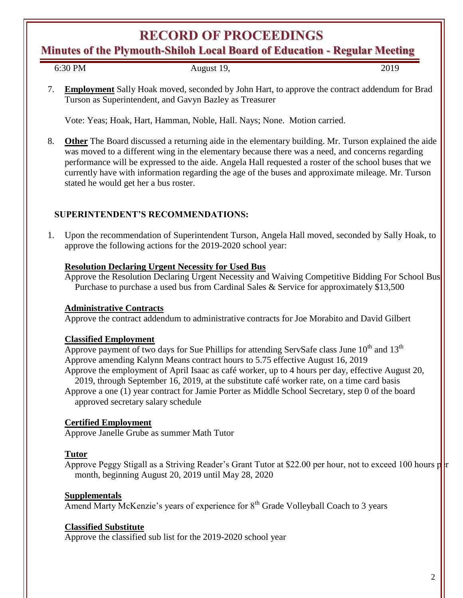**Minutes of the Plymouth-Shiloh Local Board of Education - Regular Meeting**

August 19, 2019

7. **Employment** Sally Hoak moved, seconded by John Hart, to approve the contract addendum for Brad Turson as Superintendent, and Gavyn Bazley as Treasurer

Vote: Yeas; Hoak, Hart, Hamman, Noble, Hall. Nays; None. Motion carried.

8. **Other** The Board discussed a returning aide in the elementary building. Mr. Turson explained the aide was moved to a different wing in the elementary because there was a need, and concerns regarding performance will be expressed to the aide. Angela Hall requested a roster of the school buses that we currently have with information regarding the age of the buses and approximate mileage. Mr. Turson stated he would get her a bus roster.

## **SUPERINTENDENT'S RECOMMENDATIONS:**

1. Upon the recommendation of Superintendent Turson, Angela Hall moved, seconded by Sally Hoak, to approve the following actions for the 2019-2020 school year:

#### **Resolution Declaring Urgent Necessity for Used Bus**

Approve the Resolution Declaring Urgent Necessity and Waiving Competitive Bidding For School Bus Purchase to purchase a used bus from Cardinal Sales & Service for approximately \$13,500

## **Administrative Contracts**

Approve the contract addendum to administrative contracts for Joe Morabito and David Gilbert

#### **Classified Employment**

Approve payment of two days for Sue Phillips for attending ServSafe class June  $10^{th}$  and  $13^{th}$ Approve amending Kalynn Means contract hours to 5.75 effective August 16, 2019 Approve the employment of April Isaac as café worker, up to 4 hours per day, effective August 20, 2019, through September 16, 2019, at the substitute café worker rate, on a time card basis

Approve a one (1) year contract for Jamie Porter as Middle School Secretary, step 0 of the board approved secretary salary schedule

## **Certified Employment**

Approve Janelle Grube as summer Math Tutor

## **Tutor**

Approve Peggy Stigall as a Striving Reader's Grant Tutor at \$22.00 per hour, not to exceed 100 hours p month, beginning August 20, 2019 until May 28, 2020

## **Supplementals**

Amend Marty McKenzie's years of experience for 8<sup>th</sup> Grade Volleyball Coach to 3 years

#### **Classified Substitute**

Approve the classified sub list for the 2019-2020 school year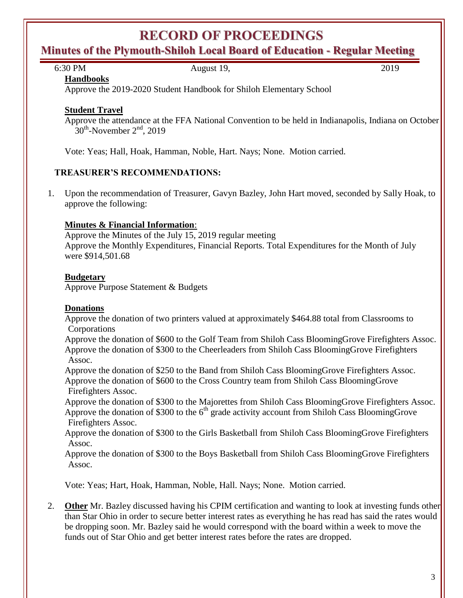## **Minutes of the Plymouth-Shiloh Local Board of Education - Regular Meeting**

6:30 PM August 19, 2019

**Handbooks**

Approve the 2019-2020 Student Handbook for Shiloh Elementary School

## **Student Travel**

Approve the attendance at the FFA National Convention to be held in Indianapolis, Indiana on October  $30^{\text{th}}$ -November  $2^{\text{nd}}$ , 2019

Vote: Yeas; Hall, Hoak, Hamman, Noble, Hart. Nays; None. Motion carried.

## **TREASURER'S RECOMMENDATIONS:**

1. Upon the recommendation of Treasurer, Gavyn Bazley, John Hart moved, seconded by Sally Hoak, to approve the following:

## **Minutes & Financial Information**:

Approve the Minutes of the July 15, 2019 regular meeting Approve the Monthly Expenditures, Financial Reports. Total Expenditures for the Month of July were \$914,501.68

## **Budgetary**

Approve Purpose Statement & Budgets

## **Donations**

Approve the donation of two printers valued at approximately \$464.88 total from Classrooms to **Corporations** 

Approve the donation of \$600 to the Golf Team from Shiloh Cass BloomingGrove Firefighters Assoc. Approve the donation of \$300 to the Cheerleaders from Shiloh Cass BloomingGrove Firefighters Assoc.

Approve the donation of \$250 to the Band from Shiloh Cass BloomingGrove Firefighters Assoc. Approve the donation of \$600 to the Cross Country team from Shiloh Cass BloomingGrove Firefighters Assoc.

Approve the donation of \$300 to the Majorettes from Shiloh Cass BloomingGrove Firefighters Assoc. Approve the donation of \$300 to the  $6<sup>th</sup>$  grade activity account from Shiloh Cass BloomingGrove Firefighters Assoc.

Approve the donation of \$300 to the Girls Basketball from Shiloh Cass BloomingGrove Firefighters Assoc.

Approve the donation of \$300 to the Boys Basketball from Shiloh Cass BloomingGrove Firefighters Assoc.

Vote: Yeas; Hart, Hoak, Hamman, Noble, Hall. Nays; None. Motion carried.

2. **Other** Mr. Bazley discussed having his CPIM certification and wanting to look at investing funds other than Star Ohio in order to secure better interest rates as everything he has read has said the rates would be dropping soon. Mr. Bazley said he would correspond with the board within a week to move the funds out of Star Ohio and get better interest rates before the rates are dropped.